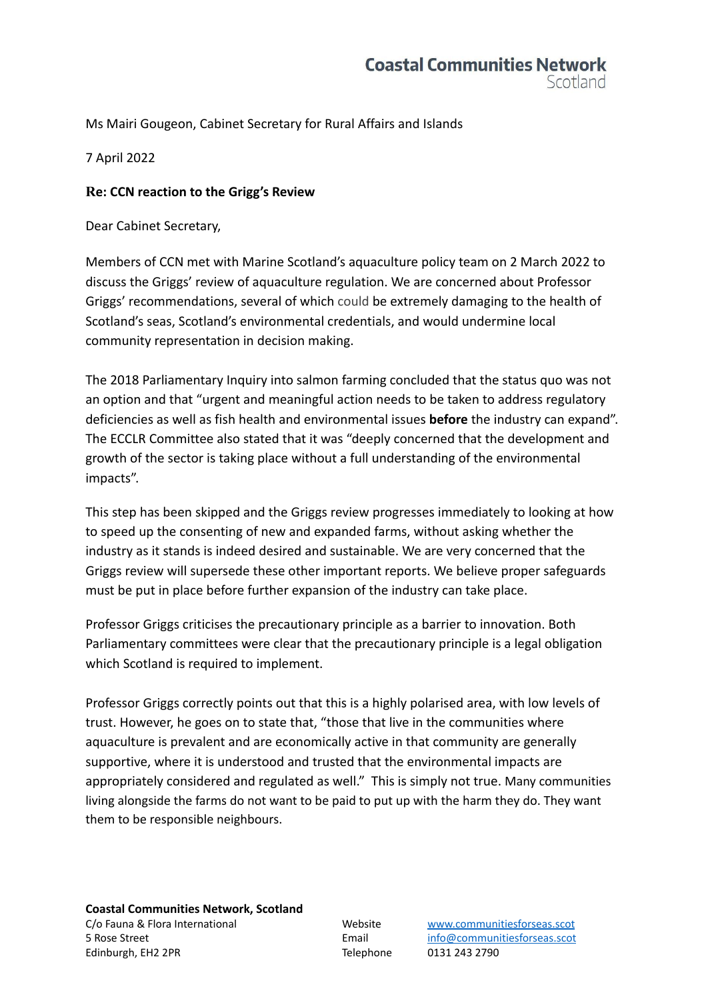## **Coastal Communities Network** Scotland

Ms Mairi Gougeon, Cabinet Secretary for Rural Affairs and Islands

7 April 2022

## **Re: CCN reaction to the Grigg's Review**

Dear Cabinet Secretary,

Members of CCN met with Marine Scotland's aquaculture policy team on 2 March 2022 to discuss the Griggs' review of aquaculture regulation. We are concerned about Professor Griggs' recommendations, several of which could be extremely damaging to the health of Scotland's seas, Scotland's environmental credentials, and would undermine local community representation in decision making.

The 2018 Parliamentary Inquiry into salmon farming concluded that the status quo was not an option and that "urgent and meaningful action needs to be taken to address regulatory deficiencies as well as fish health and environmental issues **before** the industry can expand". The ECCLR Committee also stated that it was "deeply concerned that the development and growth of the sector is taking place without a full understanding of the environmental impacts".

This step has been skipped and the Griggs review progresses immediately to looking at how to speed up the consenting of new and expanded farms, without asking whether the industry as it stands is indeed desired and sustainable. We are very concerned that the Griggs review will supersede these other important reports. We believe proper safeguards must be put in place before further expansion of the industry can take place.

Professor Griggs criticises the precautionary principle as a barrier to innovation. Both Parliamentary committees were clear that the precautionary principle is a legal obligation which Scotland is required to implement.

Professor Griggs correctly points out that this is a highly polarised area, with low levels of trust. However, he goes on to state that, "those that live in the communities where aquaculture is prevalent and are economically active in that community are generally supportive, where it is understood and trusted that the environmental impacts are appropriately considered and regulated as well." This is simply not true. Many communities living alongside the farms do not want to be paid to put up with the harm they do. They want them to be responsible neighbours.

**Coastal Communities Network, Scotland** C/o Fauna & Flora International Website [www.communitiesforseas.scot](http://www.communitiesforseas.scot) 5 Rose Street Email [info@communitiesforseas.scot](mailto:info@communitiesforseas.scot) Edinburgh, EH2 2PR Telephone 0131 243 2790